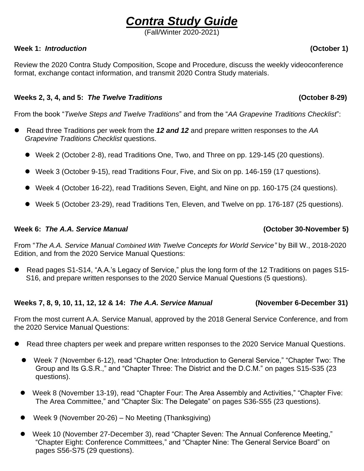# *Contra Study Guide*

(Fall/Winter 2020-2021)

### **Week 1:** *Introduction* **(October 1)**

Review the 2020 Contra Study Composition, Scope and Procedure, discuss the weekly videoconference format, exchange contact information, and transmit 2020 Contra Study materials.

## **Weeks 2, 3, 4, and 5:** *The Twelve Traditions* **(October 8-29)**

From the book "*Twelve Steps and Twelve Traditions*" and from the "*AA Grapevine Traditions Checklist*":

- ⚫ Read three Traditions per week from the *12 and 12* and prepare written responses to the *AA Grapevine Traditions Checklist* questions.
	- Week 2 (October 2-8), read Traditions One, Two, and Three on pp. 129-145 (20 questions).
	- Week 3 (October 9-15), read Traditions Four, Five, and Six on pp. 146-159 (17 questions).
	- Week 4 (October 16-22), read Traditions Seven, Eight, and Nine on pp. 160-175 (24 questions).
	- Week 5 (October 23-29), read Traditions Ten, Eleven, and Twelve on pp. 176-187 (25 questions).

#### Week 6: The A.A. Service Manual **(Community 1)** (October 30-November 5)

From "*The A.A. Service Manual Combined With Twelve Concepts for World Service"* by Bill W., 2018-2020 Edition, and from the 2020 Service Manual Questions:

● Read pages S1-S14, "A.A.'s Legacy of Service," plus the long form of the 12 Traditions on pages S15-S16, and prepare written responses to the 2020 Service Manual Questions (5 questions).

### **Weeks 7, 8, 9, 10, 11, 12, 12 & 14:** *The A.A. Service Manual* **(November 6-December 31)**

From the most current A.A. Service Manual, approved by the 2018 General Service Conference, and from the 2020 Service Manual Questions:

- ⚫ Read three chapters per week and prepare written responses to the 2020 Service Manual Questions.
	- Week 7 (November 6-12), read "Chapter One: Introduction to General Service," "Chapter Two: The Group and Its G.S.R.," and "Chapter Three: The District and the D.C.M." on pages S15-S35 (23 questions).
	- Week 8 (November 13-19), read "Chapter Four: The Area Assembly and Activities," "Chapter Five: The Area Committee," and "Chapter Six: The Delegate" on pages S36-S55 (23 questions).
	- ⚫ Week 9 (November 20-26) No Meeting (Thanksgiving)
	- Week 10 (November 27-December 3), read "Chapter Seven: The Annual Conference Meeting," "Chapter Eight: Conference Committees," and "Chapter Nine: The General Service Board" on pages S56-S75 (29 questions).